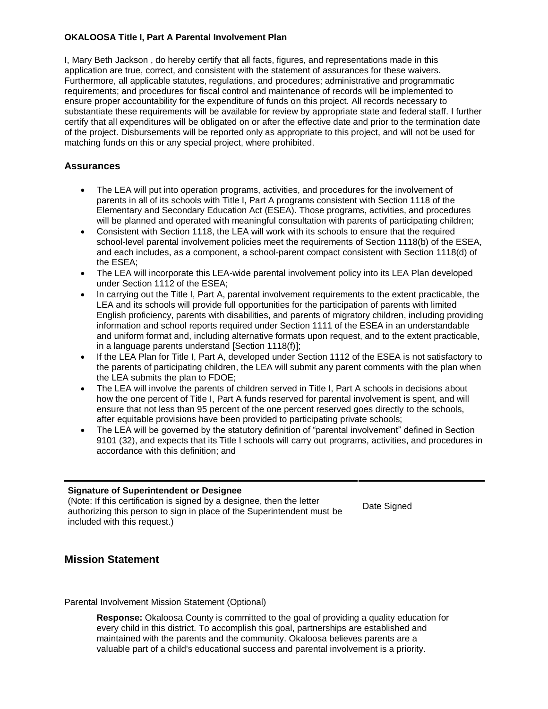#### **OKALOOSA Title I, Part A Parental Involvement Plan**

I, Mary Beth Jackson , do hereby certify that all facts, figures, and representations made in this application are true, correct, and consistent with the statement of assurances for these waivers. Furthermore, all applicable statutes, regulations, and procedures; administrative and programmatic requirements; and procedures for fiscal control and maintenance of records will be implemented to ensure proper accountability for the expenditure of funds on this project. All records necessary to substantiate these requirements will be available for review by appropriate state and federal staff. I further certify that all expenditures will be obligated on or after the effective date and prior to the termination date of the project. Disbursements will be reported only as appropriate to this project, and will not be used for matching funds on this or any special project, where prohibited.

#### **Assurances**

- The LEA will put into operation programs, activities, and procedures for the involvement of parents in all of its schools with Title I, Part A programs consistent with Section 1118 of the Elementary and Secondary Education Act (ESEA). Those programs, activities, and procedures will be planned and operated with meaningful consultation with parents of participating children;
- Consistent with Section 1118, the LEA will work with its schools to ensure that the required school-level parental involvement policies meet the requirements of Section 1118(b) of the ESEA, and each includes, as a component, a school-parent compact consistent with Section 1118(d) of the ESEA;
- The LEA will incorporate this LEA-wide parental involvement policy into its LEA Plan developed under Section 1112 of the ESEA;
- In carrying out the Title I, Part A, parental involvement requirements to the extent practicable, the LEA and its schools will provide full opportunities for the participation of parents with limited English proficiency, parents with disabilities, and parents of migratory children, including providing information and school reports required under Section 1111 of the ESEA in an understandable and uniform format and, including alternative formats upon request, and to the extent practicable, in a language parents understand [Section 1118(f)];
- If the LEA Plan for Title I, Part A, developed under Section 1112 of the ESEA is not satisfactory to the parents of participating children, the LEA will submit any parent comments with the plan when the LEA submits the plan to FDOE;
- The LEA will involve the parents of children served in Title I, Part A schools in decisions about how the one percent of Title I, Part A funds reserved for parental involvement is spent, and will ensure that not less than 95 percent of the one percent reserved goes directly to the schools, after equitable provisions have been provided to participating private schools;
- The LEA will be governed by the statutory definition of "parental involvement" defined in Section 9101 (32), and expects that its Title I schools will carry out programs, activities, and procedures in accordance with this definition; and

#### **Signature of Superintendent or Designee**

(Note: If this certification is signed by a designee, then the letter authorizing this person to sign in place of the Superintendent must be included with this request.)

Date Signed

## **Mission Statement**

Parental Involvement Mission Statement (Optional)

**Response:** Okaloosa County is committed to the goal of providing a quality education for every child in this district. To accomplish this goal, partnerships are established and maintained with the parents and the community. Okaloosa believes parents are a valuable part of a child's educational success and parental involvement is a priority.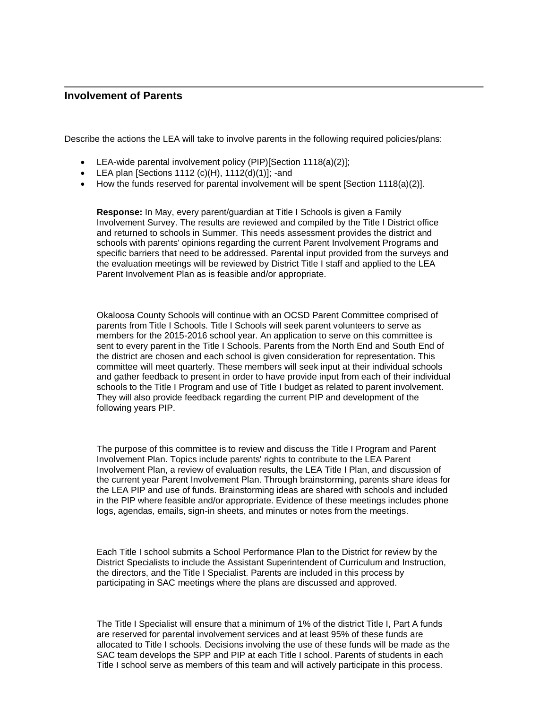#### **Involvement of Parents**

Describe the actions the LEA will take to involve parents in the following required policies/plans:

- LEA-wide parental involvement policy (PIP)[Section 1118(a)(2)];
- $\bullet$  LEA plan [Sections 1112 (c)(H), 1112(d)(1)]; -and
- $\bullet$  How the funds reserved for parental involvement will be spent [Section 1118(a)(2)].

**Response:** In May, every parent/guardian at Title I Schools is given a Family Involvement Survey. The results are reviewed and compiled by the Title I District office and returned to schools in Summer. This needs assessment provides the district and schools with parents' opinions regarding the current Parent Involvement Programs and specific barriers that need to be addressed. Parental input provided from the surveys and the evaluation meetings will be reviewed by District Title I staff and applied to the LEA Parent Involvement Plan as is feasible and/or appropriate.

Okaloosa County Schools will continue with an OCSD Parent Committee comprised of parents from Title I Schools. Title I Schools will seek parent volunteers to serve as members for the 2015-2016 school year. An application to serve on this committee is sent to every parent in the Title I Schools. Parents from the North End and South End of the district are chosen and each school is given consideration for representation. This committee will meet quarterly. These members will seek input at their individual schools and gather feedback to present in order to have provide input from each of their individual schools to the Title I Program and use of Title I budget as related to parent involvement. They will also provide feedback regarding the current PIP and development of the following years PIP.

The purpose of this committee is to review and discuss the Title I Program and Parent Involvement Plan. Topics include parents' rights to contribute to the LEA Parent Involvement Plan, a review of evaluation results, the LEA Title I Plan, and discussion of the current year Parent Involvement Plan. Through brainstorming, parents share ideas for the LEA PIP and use of funds. Brainstorming ideas are shared with schools and included in the PIP where feasible and/or appropriate. Evidence of these meetings includes phone logs, agendas, emails, sign-in sheets, and minutes or notes from the meetings.

Each Title I school submits a School Performance Plan to the District for review by the District Specialists to include the Assistant Superintendent of Curriculum and Instruction, the directors, and the Title I Specialist. Parents are included in this process by participating in SAC meetings where the plans are discussed and approved.

The Title I Specialist will ensure that a minimum of 1% of the district Title I, Part A funds are reserved for parental involvement services and at least 95% of these funds are allocated to Title I schools. Decisions involving the use of these funds will be made as the SAC team develops the SPP and PIP at each Title I school. Parents of students in each Title I school serve as members of this team and will actively participate in this process.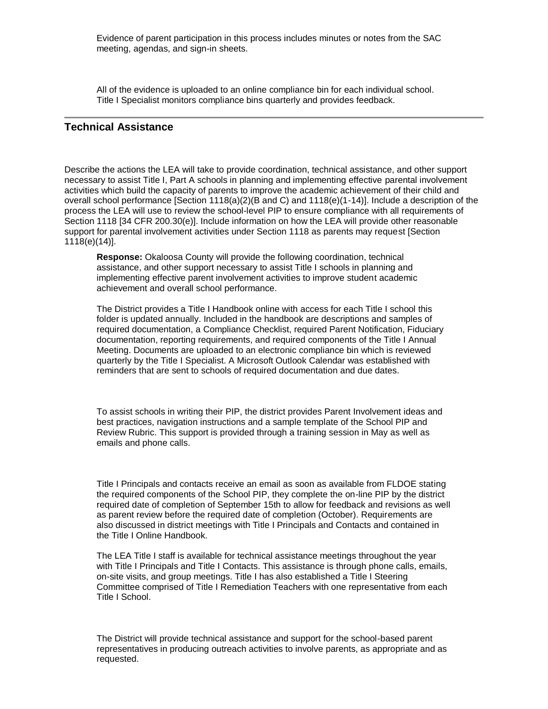Evidence of parent participation in this process includes minutes or notes from the SAC meeting, agendas, and sign-in sheets.

All of the evidence is uploaded to an online compliance bin for each individual school. Title I Specialist monitors compliance bins quarterly and provides feedback.

#### **Technical Assistance**

Describe the actions the LEA will take to provide coordination, technical assistance, and other support necessary to assist Title I, Part A schools in planning and implementing effective parental involvement activities which build the capacity of parents to improve the academic achievement of their child and overall school performance [Section 1118(a)(2)(B and C) and 1118(e)(1-14)]. Include a description of the process the LEA will use to review the school-level PIP to ensure compliance with all requirements of Section 1118 [34 CFR 200.30(e)]. Include information on how the LEA will provide other reasonable support for parental involvement activities under Section 1118 as parents may request [Section 1118(e)(14)].

**Response:** Okaloosa County will provide the following coordination, technical assistance, and other support necessary to assist Title I schools in planning and implementing effective parent involvement activities to improve student academic achievement and overall school performance.

The District provides a Title I Handbook online with access for each Title I school this folder is updated annually. Included in the handbook are descriptions and samples of required documentation, a Compliance Checklist, required Parent Notification, Fiduciary documentation, reporting requirements, and required components of the Title I Annual Meeting. Documents are uploaded to an electronic compliance bin which is reviewed quarterly by the Title I Specialist. A Microsoft Outlook Calendar was established with reminders that are sent to schools of required documentation and due dates.

To assist schools in writing their PIP, the district provides Parent Involvement ideas and best practices, navigation instructions and a sample template of the School PIP and Review Rubric. This support is provided through a training session in May as well as emails and phone calls.

Title I Principals and contacts receive an email as soon as available from FLDOE stating the required components of the School PIP, they complete the on-line PIP by the district required date of completion of September 15th to allow for feedback and revisions as well as parent review before the required date of completion (October). Requirements are also discussed in district meetings with Title I Principals and Contacts and contained in the Title I Online Handbook.

The LEA Title I staff is available for technical assistance meetings throughout the year with Title I Principals and Title I Contacts. This assistance is through phone calls, emails, on-site visits, and group meetings. Title I has also established a Title I Steering Committee comprised of Title I Remediation Teachers with one representative from each Title I School.

The District will provide technical assistance and support for the school-based parent representatives in producing outreach activities to involve parents, as appropriate and as requested.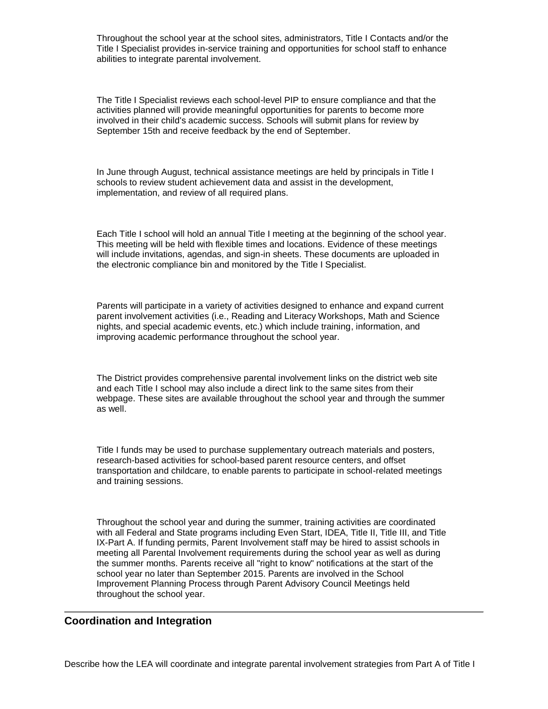Throughout the school year at the school sites, administrators, Title I Contacts and/or the Title I Specialist provides in-service training and opportunities for school staff to enhance abilities to integrate parental involvement.

The Title I Specialist reviews each school-level PIP to ensure compliance and that the activities planned will provide meaningful opportunities for parents to become more involved in their child's academic success. Schools will submit plans for review by September 15th and receive feedback by the end of September.

In June through August, technical assistance meetings are held by principals in Title I schools to review student achievement data and assist in the development, implementation, and review of all required plans.

Each Title I school will hold an annual Title I meeting at the beginning of the school year. This meeting will be held with flexible times and locations. Evidence of these meetings will include invitations, agendas, and sign-in sheets. These documents are uploaded in the electronic compliance bin and monitored by the Title I Specialist.

Parents will participate in a variety of activities designed to enhance and expand current parent involvement activities (i.e., Reading and Literacy Workshops, Math and Science nights, and special academic events, etc.) which include training, information, and improving academic performance throughout the school year.

The District provides comprehensive parental involvement links on the district web site and each Title I school may also include a direct link to the same sites from their webpage. These sites are available throughout the school year and through the summer as well.

Title I funds may be used to purchase supplementary outreach materials and posters, research-based activities for school-based parent resource centers, and offset transportation and childcare, to enable parents to participate in school-related meetings and training sessions.

Throughout the school year and during the summer, training activities are coordinated with all Federal and State programs including Even Start, IDEA, Title II, Title III, and Title IX-Part A. If funding permits, Parent Involvement staff may be hired to assist schools in meeting all Parental Involvement requirements during the school year as well as during the summer months. Parents receive all "right to know" notifications at the start of the school year no later than September 2015. Parents are involved in the School Improvement Planning Process through Parent Advisory Council Meetings held throughout the school year.

#### **Coordination and Integration**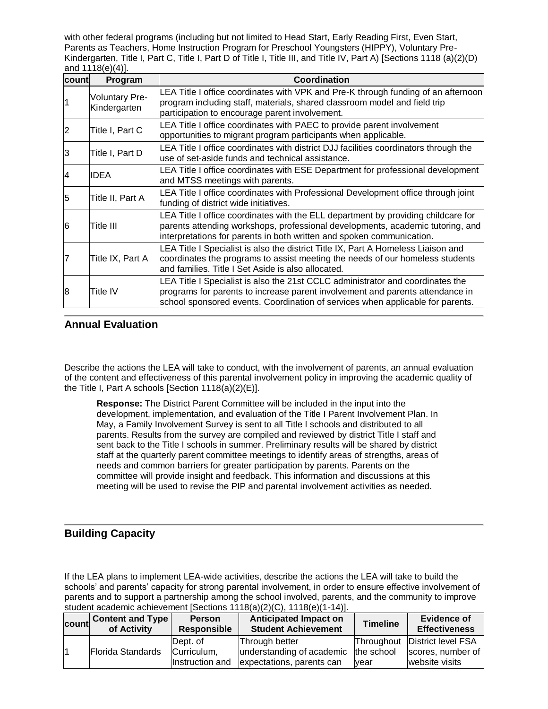with other federal programs (including but not limited to Head Start, Early Reading First, Even Start, Parents as Teachers, Home Instruction Program for Preschool Youngsters (HIPPY), Voluntary Pre-Kindergarten, Title I, Part C, Title I, Part D of Title I, Title III, and Title IV, Part A) [Sections 1118 (a)(2)(D) and 1118(e)(4)].

| Icountl | Program                               | Coordination                                                                                                                                                                                                                                      |
|---------|---------------------------------------|---------------------------------------------------------------------------------------------------------------------------------------------------------------------------------------------------------------------------------------------------|
|         | <b>Voluntary Pre-</b><br>Kindergarten | LEA Title I office coordinates with VPK and Pre-K through funding of an afternoon<br>program including staff, materials, shared classroom model and field trip<br>participation to encourage parent involvement.                                  |
|         | Title I, Part C                       | LEA Title I office coordinates with PAEC to provide parent involvement<br>opportunities to migrant program participants when applicable.                                                                                                          |
| 3       | Title I, Part D                       | LEA Title I office coordinates with district DJJ facilities coordinators through the<br>use of set-aside funds and technical assistance.                                                                                                          |
| 14      | <b>IDEA</b>                           | LEA Title I office coordinates with ESE Department for professional development<br>and MTSS meetings with parents.                                                                                                                                |
| 5       | Title II, Part A                      | LEA Title I office coordinates with Professional Development office through joint<br>funding of district wide initiatives.                                                                                                                        |
| 6       | Title III                             | LEA Title I office coordinates with the ELL department by providing childcare for<br>parents attending workshops, professional developments, academic tutoring, and<br>interpretations for parents in both written and spoken communication.      |
|         | Title IX, Part A                      | LEA Title I Specialist is also the district Title IX, Part A Homeless Liaison and<br>coordinates the programs to assist meeting the needs of our homeless students<br>and families. Title I Set Aside is also allocated.                          |
| 8       | Title IV                              | LEA Title I Specialist is also the 21st CCLC administrator and coordinates the<br>programs for parents to increase parent involvement and parents attendance in<br>school sponsored events. Coordination of services when applicable for parents. |

## **Annual Evaluation**

Describe the actions the LEA will take to conduct, with the involvement of parents, an annual evaluation of the content and effectiveness of this parental involvement policy in improving the academic quality of the Title I, Part A schools [Section 1118(a)(2)(E)].

**Response:** The District Parent Committee will be included in the input into the development, implementation, and evaluation of the Title I Parent Involvement Plan. In May, a Family Involvement Survey is sent to all Title I schools and distributed to all parents. Results from the survey are compiled and reviewed by district Title I staff and sent back to the Title I schools in summer. Preliminary results will be shared by district staff at the quarterly parent committee meetings to identify areas of strengths, areas of needs and common barriers for greater participation by parents. Parents on the committee will provide insight and feedback. This information and discussions at this meeting will be used to revise the PIP and parental involvement activities as needed.

# **Building Capacity**

If the LEA plans to implement LEA-wide activities, describe the actions the LEA will take to build the schools' and parents' capacity for strong parental involvement, in order to ensure effective involvement of parents and to support a partnership among the school involved, parents, and the community to improve student academic achievement [Sections 1118(a)(2)(C), 1118(e)(1-14)].

| count | <b>Content and Type</b><br>of Activity | <b>Person</b><br><b>Responsible</b> | <b>Anticipated Impact on</b><br><b>Student Achievement</b> | <b>Timeline</b> | <b>Evidence of</b><br><b>Effectiveness</b> |
|-------|----------------------------------------|-------------------------------------|------------------------------------------------------------|-----------------|--------------------------------------------|
|       | Florida Standards                      | Dept. of                            | Through better                                             |                 | Throughout District level FSA              |
|       |                                        | Curriculum,                         | understanding of academic                                  | the school      | scores, number of                          |
|       |                                        | Instruction and                     | expectations, parents can                                  | year            | website visits                             |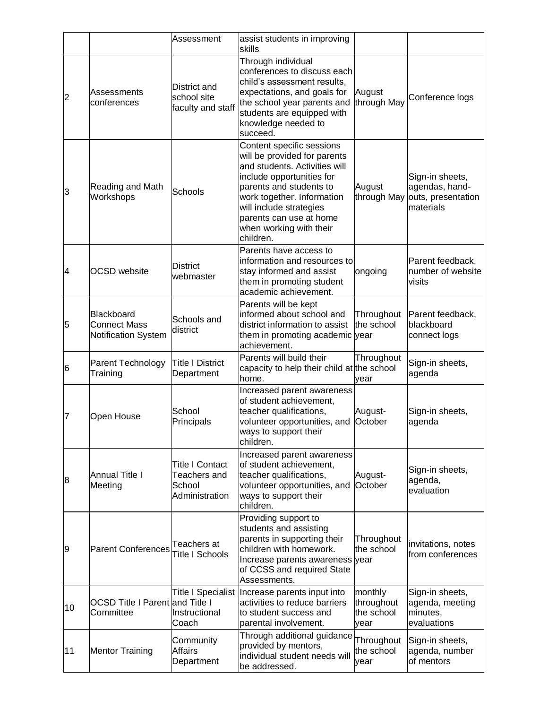|                |                                                          | Assessment                                                         | assist students in improving<br>skills                                                                                                                                                                                                                                         |                                             |                                                                                  |
|----------------|----------------------------------------------------------|--------------------------------------------------------------------|--------------------------------------------------------------------------------------------------------------------------------------------------------------------------------------------------------------------------------------------------------------------------------|---------------------------------------------|----------------------------------------------------------------------------------|
| $\overline{c}$ | <b>Assessments</b><br>conferences                        | District and<br>school site<br>faculty and staff                   | Through individual<br>conferences to discuss each<br>child's assessment results,<br>expectations, and goals for<br>the school year parents and<br>students are equipped with<br>knowledge needed to<br>succeed.                                                                | August<br>through May                       | Conference logs                                                                  |
| 3              | Reading and Math<br>Workshops                            | Schools                                                            | Content specific sessions<br>will be provided for parents<br>and students. Activities will<br>include opportunities for<br>parents and students to<br>work together. Information<br>will include strategies<br>parents can use at home<br>when working with their<br>children. | August                                      | Sign-in sheets,<br>agendas, hand-<br>through May outs, presentation<br>materials |
| 4              | <b>OCSD</b> website                                      | <b>District</b><br>webmaster                                       | Parents have access to<br>information and resources to<br>stay informed and assist<br>them in promoting student<br>academic achievement.                                                                                                                                       | ongoing                                     | Parent feedback,<br>number of website<br>visits                                  |
| 5              | Blackboard<br><b>Connect Mass</b><br>Notification System | Schools and<br>district                                            | Parents will be kept<br>informed about school and<br>district information to assist<br>them in promoting academic year<br>achievement.                                                                                                                                         | Throughout<br>the school                    | Parent feedback,<br>blackboard<br>connect logs                                   |
| 6              | Parent Technology<br>Training                            | <b>Title I District</b><br>Department                              | Parents will build their<br>capacity to help their child at the school<br>home.                                                                                                                                                                                                | Throughout<br>vear                          | Sign-in sheets,<br>agenda                                                        |
| 7              | Open House                                               | School<br>Principals                                               | Increased parent awareness<br>of student achievement,<br>teacher qualifications,<br>volunteer opportunities, and<br>ways to support their<br>children.                                                                                                                         | August-<br>October                          | Sign-in sheets,<br>agenda                                                        |
| 8              | <b>Annual Title I</b><br>Meeting                         | <b>Title I Contact</b><br>Teachers and<br>School<br>Administration | Increased parent awareness<br>of student achievement,<br>teacher qualifications,<br>volunteer opportunities, and<br>ways to support their<br>children.                                                                                                                         | August-<br>October                          | Sign-in sheets,<br>agenda,<br>evaluation                                         |
| 9              | <b>Parent Conferences</b>                                | Teachers at<br><b>Title I Schools</b>                              | Providing support to<br>students and assisting<br>parents in supporting their<br>children with homework.<br>Increase parents awareness year<br>of CCSS and required State<br>Assessments.                                                                                      | Throughout<br>the school                    | invitations, notes<br>from conferences                                           |
| 10             | OCSD Title I Parent and Title I<br>Committee             | Instructional<br>Coach                                             | Title I Specialist  Increase parents input into<br>activities to reduce barriers<br>to student success and<br>parental involvement.                                                                                                                                            | monthly<br>throughout<br>the school<br>vear | Sign-in sheets,<br>agenda, meeting<br>minutes,<br>evaluations                    |
| 11             | <b>Mentor Training</b>                                   | Community<br><b>Affairs</b><br>Department                          | Through additional guidance<br>provided by mentors,<br>individual student needs will<br>be addressed.                                                                                                                                                                          | Throughout<br>the school<br>vear            | Sign-in sheets,<br>agenda, number<br>of mentors                                  |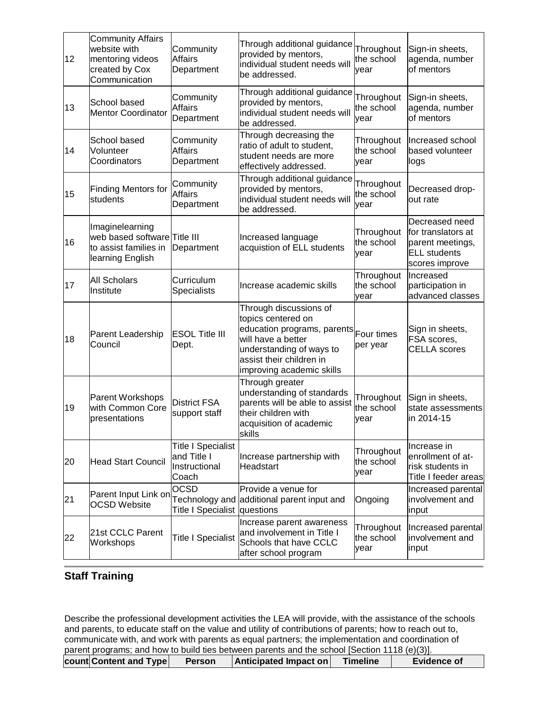| 12 | <b>Community Affairs</b><br>website with<br>mentoring videos<br>created by Cox<br>Communication | Community<br><b>Affairs</b><br>Department                          | Through additional guidance<br>provided by mentors,<br>individual student needs will<br>be addressed.                                                                                  | Throughout<br>the school<br>vear | Sign-in sheets,<br>agenda, number<br>of mentors                                                   |
|----|-------------------------------------------------------------------------------------------------|--------------------------------------------------------------------|----------------------------------------------------------------------------------------------------------------------------------------------------------------------------------------|----------------------------------|---------------------------------------------------------------------------------------------------|
| 13 | School based<br><b>Mentor Coordinator</b>                                                       | Community<br><b>Affairs</b><br>Department                          | Through additional guidance<br>provided by mentors,<br>individual student needs will<br>be addressed.                                                                                  | Throughout<br>the school<br>vear | Sign-in sheets,<br>agenda, number<br>of mentors                                                   |
| 14 | School based<br>Volunteer<br>Coordinators                                                       | Community<br><b>Affairs</b><br>Department                          | Through decreasing the<br>ratio of adult to student,<br>student needs are more<br>effectively addressed.                                                                               | Throughout<br>the school<br>vear | Increased school<br>based volunteer<br>logs                                                       |
| 15 | <b>Finding Mentors for</b><br>students                                                          | Community<br><b>Affairs</b><br>Department                          | Through additional guidance<br>provided by mentors,<br>individual student needs will<br>be addressed.                                                                                  | Throughout<br>the school<br>vear | Decreased drop-<br>out rate                                                                       |
| 16 | Imaginelearning<br>web based software Title III<br>to assist families in<br>learning English    | Department                                                         | Increased language<br>acquistion of ELL students                                                                                                                                       | Throughout<br>the school<br>year | Decreased need<br>for translators at<br>parent meetings,<br><b>ELL</b> students<br>scores improve |
| 17 | <b>All Scholars</b><br>Institute                                                                | Curriculum<br>Specialists                                          | Increase academic skills                                                                                                                                                               | Throughout<br>the school<br>year | Increased<br>participation in<br>advanced classes                                                 |
| 18 | Parent Leadership<br>Council                                                                    | <b>ESOL Title III</b><br>Dept.                                     | Through discussions of<br>topics centered on<br>education programs, parents<br>will have a better<br>understanding of ways to<br>assist their children in<br>improving academic skills | Four times<br>per year           | Sign in sheets,<br>FSA scores,<br><b>CELLA</b> scores                                             |
| 19 | Parent Workshops<br>with Common Core<br>presentations                                           | <b>District FSA</b><br>support staff                               | Through greater<br>understanding of standards<br>parents will be able to assist<br>their children with<br>acquisition of academic<br>skills                                            | Throughout<br>the school<br>vear | Sign in sheets,<br>state assessments<br>in 2014-15                                                |
| 20 | Head Start Council                                                                              | <b>Title I Specialist</b><br>and Title I<br>Instructional<br>Coach | Increase partnership with<br><b>Headstart</b>                                                                                                                                          | Throughout<br>the school<br>vear | Increase in<br>enrollment of at-<br>risk students in<br>Title I feeder areas                      |
| 21 | Parent Input Link on<br><b>OCSD Website</b>                                                     | <b>OCSD</b><br>Title I Specialist questions                        | Provide a venue for<br>Technology and additional parent input and                                                                                                                      | Ongoing                          | Increased parental<br>linvolvement and<br>input                                                   |
| 22 | 21st CCLC Parent<br>Workshops                                                                   | <b>Title I Specialist</b>                                          | Increase parent awareness<br>and involvement in Title I<br>Schools that have CCLC<br>after school program                                                                              | Throughout<br>the school<br>year | Increased parental<br>involvement and<br>input                                                    |

# **Staff Training**

Describe the professional development activities the LEA will provide, with the assistance of the schools and parents, to educate staff on the value and utility of contributions of parents; how to reach out to, communicate with, and work with parents as equal partners; the implementation and coordination of parent programs; and how to build ties between parents and the school [Section 1118 (e)(3)]. **count Content and Type Person** Anticipated Impact on Timeline Evidence of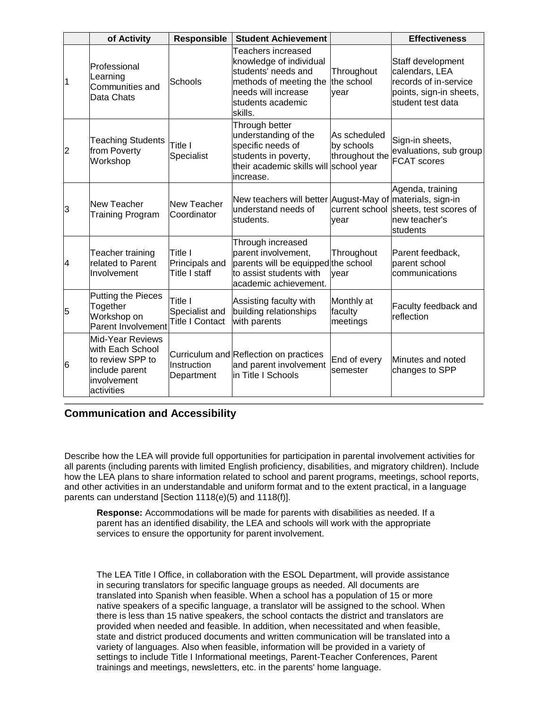|                | of Activity                                                                                                    | <b>Responsible</b>                                  | <b>Student Achievement</b>                                                                                                                            |                                              | <b>Effectiveness</b>                                                                                         |
|----------------|----------------------------------------------------------------------------------------------------------------|-----------------------------------------------------|-------------------------------------------------------------------------------------------------------------------------------------------------------|----------------------------------------------|--------------------------------------------------------------------------------------------------------------|
|                | Professional<br>Learning<br>Communities and<br>Data Chats                                                      | Schools                                             | Teachers increased<br>knowledge of individual<br>students' needs and<br>methods of meeting the<br>needs will increase<br>students academic<br>skills. | Throughout<br>the school<br>vear             | Staff development<br>calendars, LEA<br>records of in-service<br>points, sign-in sheets,<br>student test data |
| 2              | <b>Teaching Students</b><br>from Poverty<br>Workshop                                                           | Title I<br>Specialist                               | Through better<br>understanding of the<br>specific needs of<br>students in poverty,<br>their academic skills will school year<br>increase.            | As scheduled<br>by schools<br>throughout the | Sign-in sheets,<br>evaluations, sub group<br><b>FCAT</b> scores                                              |
| 3              | New Teacher<br><b>Training Program</b>                                                                         | New Teacher<br>Coordinator                          | New teachers will better August-May of materials, sign-in<br>lunderstand needs of<br>students.                                                        | current school<br>vear                       | Agenda, training<br>sheets, test scores of<br>new teacher's<br>students                                      |
| 4              | Teacher training<br>related to Parent<br>Involvement                                                           | Title I<br>Principals and<br>Title I staff          | Through increased<br>parent involvement,<br>parents will be equipped the school<br>to assist students with<br>academic achievement.                   | Throughout<br>vear                           | Parent feedback,<br>parent school<br>communications                                                          |
| 5              | <b>Putting the Pieces</b><br>Together<br>Workshop on<br>Parent Involvement                                     | Title I<br>Specialist and<br><b>Title I Contact</b> | Assisting faculty with<br>building relationships<br>with parents                                                                                      | Monthly at<br>faculty<br>meetings            | Faculty feedback and<br>reflection                                                                           |
| $\overline{6}$ | <b>Mid-Year Reviews</b><br>with Each School<br>to review SPP to<br>include parent<br>involvement<br>activities | Instruction<br>Department                           | Curriculum and Reflection on practices<br>and parent involvement<br>in Title I Schools                                                                | End of every<br>semester                     | Minutes and noted<br>changes to SPP                                                                          |

# **Communication and Accessibility**

Describe how the LEA will provide full opportunities for participation in parental involvement activities for all parents (including parents with limited English proficiency, disabilities, and migratory children). Include how the LEA plans to share information related to school and parent programs, meetings, school reports, and other activities in an understandable and uniform format and to the extent practical, in a language parents can understand [Section 1118(e)(5) and 1118(f)].

**Response:** Accommodations will be made for parents with disabilities as needed. If a parent has an identified disability, the LEA and schools will work with the appropriate services to ensure the opportunity for parent involvement.

The LEA Title I Office, in collaboration with the ESOL Department, will provide assistance in securing translators for specific language groups as needed. All documents are translated into Spanish when feasible. When a school has a population of 15 or more native speakers of a specific language, a translator will be assigned to the school. When there is less than 15 native speakers, the school contacts the district and translators are provided when needed and feasible. In addition, when necessitated and when feasible, state and district produced documents and written communication will be translated into a variety of languages. Also when feasible, information will be provided in a variety of settings to include Title I Informational meetings, Parent-Teacher Conferences, Parent trainings and meetings, newsletters, etc. in the parents' home language.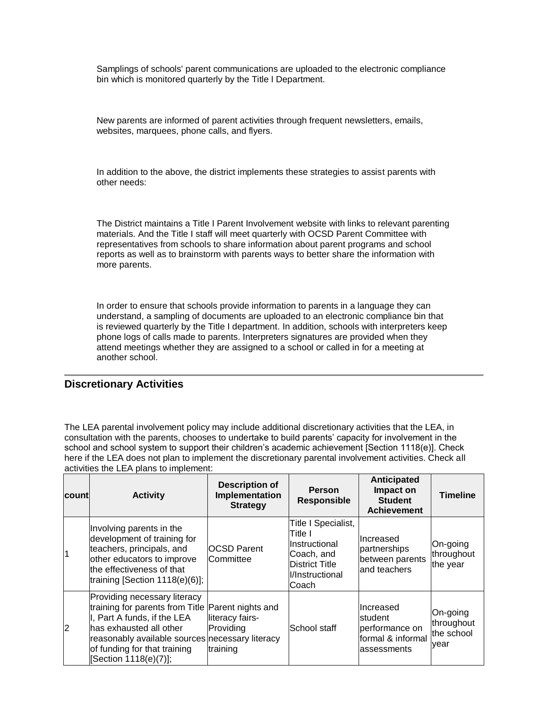Samplings of schools' parent communications are uploaded to the electronic compliance bin which is monitored quarterly by the Title I Department.

New parents are informed of parent activities through frequent newsletters, emails, websites, marquees, phone calls, and flyers.

In addition to the above, the district implements these strategies to assist parents with other needs:

The District maintains a Title I Parent Involvement website with links to relevant parenting materials. And the Title I staff will meet quarterly with OCSD Parent Committee with representatives from schools to share information about parent programs and school reports as well as to brainstorm with parents ways to better share the information with more parents.

In order to ensure that schools provide information to parents in a language they can understand, a sampling of documents are uploaded to an electronic compliance bin that is reviewed quarterly by the Title I department. In addition, schools with interpreters keep phone logs of calls made to parents. Interpreters signatures are provided when they attend meetings whether they are assigned to a school or called in for a meeting at another school.

#### **Discretionary Activities**

The LEA parental involvement policy may include additional discretionary activities that the LEA, in consultation with the parents, chooses to undertake to build parents' capacity for involvement in the school and school system to support their children's academic achievement [Section 1118(e)]. Check here if the LEA does not plan to implement the discretionary parental involvement activities. Check all activities the LEA plans to implement:

| Icountl | <b>Activity</b>                                                                                                                                                                                                                                         | <b>Description of</b><br>Implementation<br><b>Strategy</b> | <b>Person</b><br><b>Responsible</b>                                                                                | <b>Anticipated</b><br>Impact on<br><b>Student</b><br><b>Achievement</b>      | <b>Timeline</b>                              |
|---------|---------------------------------------------------------------------------------------------------------------------------------------------------------------------------------------------------------------------------------------------------------|------------------------------------------------------------|--------------------------------------------------------------------------------------------------------------------|------------------------------------------------------------------------------|----------------------------------------------|
|         | Involving parents in the<br>development of training for<br>teachers, principals, and<br>other educators to improve<br>the effectiveness of that<br>training [Section 1118(e)(6)];                                                                       | <b>OCSD Parent</b><br>Committee                            | Title I Specialist,<br>Title I<br>Instructional<br>Coach, and<br><b>District Title</b><br>l/Instructional<br>Coach | Increased<br>partnerships<br>between parents<br>and teachers                 | On-going<br>throughout<br>the year           |
| 2       | Providing necessary literacy<br>training for parents from Title Parent nights and<br>I, Part A funds, if the LEA<br>has exhausted all other<br>reasonably available sources necessary literacy<br>of funding for that training<br>[Section 1118(e)(7)]; | literacy fairs-<br>Providing<br>training                   | School staff                                                                                                       | Increased<br>lstudent<br>performance on<br>formal & informal<br>lassessments | On-going<br>throughout<br>the school<br>year |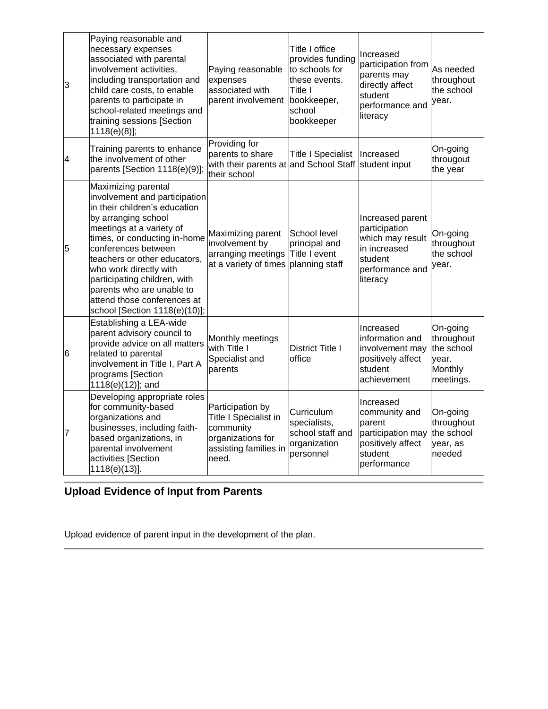| 3 | Paying reasonable and<br>necessary expenses<br>associated with parental<br>involvement activities,<br>including transportation and<br>child care costs, to enable<br>parents to participate in<br>school-related meetings and<br>training sessions [Section<br>$1118(e)(8)$ ];                                                                                                         | Paying reasonable<br>expenses<br>associated with<br>parent involvement                                          | Title I office<br>provides funding<br>to schools for<br>these events.<br>Title I<br>bookkeeper,<br>school<br>bookkeeper | Increased<br>participation from<br>parents may<br>directly affect<br>student<br>performance and<br>literacy     | As needed<br>throughout<br>the school<br>year.                        |
|---|----------------------------------------------------------------------------------------------------------------------------------------------------------------------------------------------------------------------------------------------------------------------------------------------------------------------------------------------------------------------------------------|-----------------------------------------------------------------------------------------------------------------|-------------------------------------------------------------------------------------------------------------------------|-----------------------------------------------------------------------------------------------------------------|-----------------------------------------------------------------------|
| 4 | Training parents to enhance<br>the involvement of other<br>parents [Section 1118(e)(9)];                                                                                                                                                                                                                                                                                               | Providing for<br>parents to share<br>with their parents at and School Staff<br>their school                     | <b>Title I Specialist</b>                                                                                               | Increased<br>student input                                                                                      | On-going<br>througout<br>the year                                     |
| 5 | Maximizing parental<br>involvement and participation<br>in their children's education<br>by arranging school<br>meetings at a variety of<br>times, or conducting in-home<br>conferences between<br>teachers or other educators,<br>who work directly with<br>participating children, with<br>parents who are unable to<br>attend those conferences at<br>school [Section 1118(e)(10)]; | Maximizing parent<br>involvement by<br>arranging meetings Title I event<br>at a variety of times planning staff | School level<br>principal and                                                                                           | Increased parent<br>participation<br>which may result<br>in increased<br>student<br>performance and<br>literacy | On-going<br>throughout<br>the school<br>vear.                         |
| 6 | Establishing a LEA-wide<br>parent advisory council to<br>provide advice on all matters<br>related to parental<br>involvement in Title I, Part A<br>programs [Section<br>1118(e)(12)]; and                                                                                                                                                                                              | Monthly meetings<br>with Title I<br>Specialist and<br>parents                                                   | <b>District Title I</b><br>office                                                                                       | Increased<br>information and<br>involvement may<br>positively affect<br>student<br>achievement                  | On-going<br>throughout<br>the school<br>year.<br>Monthly<br>meetings. |
| 7 | Developing appropriate roles<br>for community-based<br>organizations and<br>businesses, including faith-<br>based organizations, in<br>parental involvement<br>activities [Section<br>1118(e)(13)].                                                                                                                                                                                    | Participation by<br>Title I Specialist in<br>community<br>organizations for<br>assisting families in<br>need.   | Curriculum<br>specialists,<br>school staff and<br>organization<br>personnel                                             | Increased<br>community and<br>parent<br>participation may<br>positively affect<br>student<br>performance        | On-going<br>throughout<br>the school<br>year, as<br>needed            |

# **Upload Evidence of Input from Parents**

Upload evidence of parent input in the development of the plan.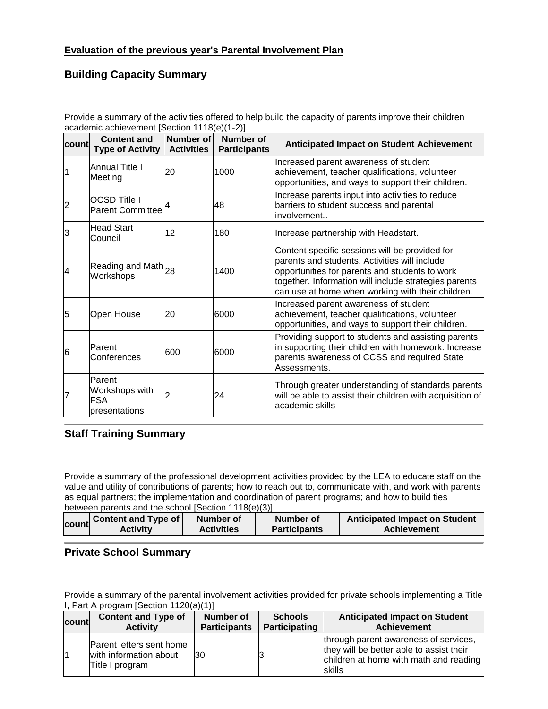# **Building Capacity Summary**

Provide a summary of the activities offered to help build the capacity of parents improve their children academic achievement [Section 1118(e)(1-2)].

| count          | <b>Content and</b><br><b>Type of Activity</b>           | Number of<br><b>Activities</b> | Number of<br><b>Participants</b> | <b>Anticipated Impact on Student Achievement</b>                                                                                                                                                                                                                |
|----------------|---------------------------------------------------------|--------------------------------|----------------------------------|-----------------------------------------------------------------------------------------------------------------------------------------------------------------------------------------------------------------------------------------------------------------|
|                | <b>Annual Title I</b><br>Meeting                        | 20                             | 1000                             | Increased parent awareness of student<br>achievement, teacher qualifications, volunteer<br>opportunities, and ways to support their children.                                                                                                                   |
| $\overline{2}$ | <b>OCSD Title I</b><br><b>Parent Committee</b>          |                                | 48                               | Increase parents input into activities to reduce<br>barriers to student success and parental<br>involvement                                                                                                                                                     |
| 13             | <b>Head Start</b><br>Council                            | 12                             | 180                              | Increase partnership with Headstart.                                                                                                                                                                                                                            |
| 14             | Reading and Math 28<br>Workshops                        |                                | 1400                             | Content specific sessions will be provided for<br>parents and students. Activities will include<br>opportunities for parents and students to work<br>together. Information will include strategies parents<br>can use at home when working with their children. |
| 5              | Open House                                              | 20                             | 6000                             | Increased parent awareness of student<br>achievement, teacher qualifications, volunteer<br>opportunities, and ways to support their children.                                                                                                                   |
| $\overline{6}$ | Parent<br>Conferences                                   | 600                            | 6000                             | Providing support to students and assisting parents<br>in supporting their children with homework. Increase<br>parents awareness of CCSS and required State<br>Assessments.                                                                                     |
|                | Parent<br>Workshops with<br><b>FSA</b><br>presentations |                                | 24                               | Through greater understanding of standards parents<br>will be able to assist their children with acquisition of<br>academic skills                                                                                                                              |

## **Staff Training Summary**

Provide a summary of the professional development activities provided by the LEA to educate staff on the value and utility of contributions of parents; how to reach out to, communicate with, and work with parents as equal partners; the implementation and coordination of parent programs; and how to build ties between parents and the school [Section 1118(e)(3)].

| <b>Anticipated Impact on Student</b><br><b>Content and Type of</b><br>Number of<br><b>count</b><br><b>Activities</b><br><b>Participants</b><br><b>Achievement</b><br><b>Activity</b> |  |
|--------------------------------------------------------------------------------------------------------------------------------------------------------------------------------------|--|
|--------------------------------------------------------------------------------------------------------------------------------------------------------------------------------------|--|

# **Private School Summary**

Provide a summary of the parental involvement activities provided for private schools implementing a Title I, Part A program [Section 1120(a)(1)]

| count | <b>Content and Type of</b>                                            | Number of           | <b>Schools</b> | <b>Anticipated Impact on Student</b>                                                                                                   |
|-------|-----------------------------------------------------------------------|---------------------|----------------|----------------------------------------------------------------------------------------------------------------------------------------|
|       | <b>Activity</b>                                                       | <b>Participants</b> | Participating  | <b>Achievement</b>                                                                                                                     |
|       | Parent letters sent home<br>with information about<br>Title I program | '30                 |                | through parent awareness of services,<br>they will be better able to assist their<br>children at home with math and reading<br>lskills |